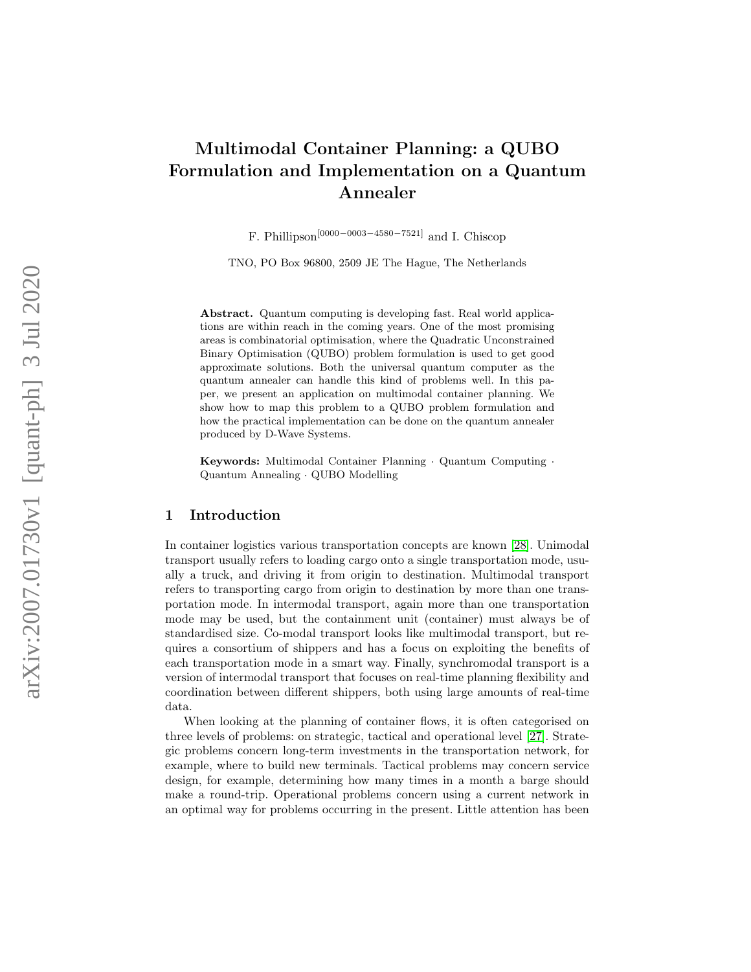# Multimodal Container Planning: a QUBO Formulation and Implementation on a Quantum Annealer

F. Phillipson<sup>[0000–0003–4580–7521]</sup> and I. Chiscop

TNO, PO Box 96800, 2509 JE The Hague, The Netherlands

Abstract. Quantum computing is developing fast. Real world applications are within reach in the coming years. One of the most promising areas is combinatorial optimisation, where the Quadratic Unconstrained Binary Optimisation (QUBO) problem formulation is used to get good approximate solutions. Both the universal quantum computer as the quantum annealer can handle this kind of problems well. In this paper, we present an application on multimodal container planning. We show how to map this problem to a QUBO problem formulation and how the practical implementation can be done on the quantum annealer produced by D-Wave Systems.

Keywords: Multimodal Container Planning · Quantum Computing · Quantum Annealing · QUBO Modelling

## 1 Introduction

In container logistics various transportation concepts are known [\[28\]](#page-13-0). Unimodal transport usually refers to loading cargo onto a single transportation mode, usually a truck, and driving it from origin to destination. Multimodal transport refers to transporting cargo from origin to destination by more than one transportation mode. In intermodal transport, again more than one transportation mode may be used, but the containment unit (container) must always be of standardised size. Co-modal transport looks like multimodal transport, but requires a consortium of shippers and has a focus on exploiting the benefits of each transportation mode in a smart way. Finally, synchromodal transport is a version of intermodal transport that focuses on real-time planning flexibility and coordination between different shippers, both using large amounts of real-time data.

When looking at the planning of container flows, it is often categorised on three levels of problems: on strategic, tactical and operational level [\[27\]](#page-13-1). Strategic problems concern long-term investments in the transportation network, for example, where to build new terminals. Tactical problems may concern service design, for example, determining how many times in a month a barge should make a round-trip. Operational problems concern using a current network in an optimal way for problems occurring in the present. Little attention has been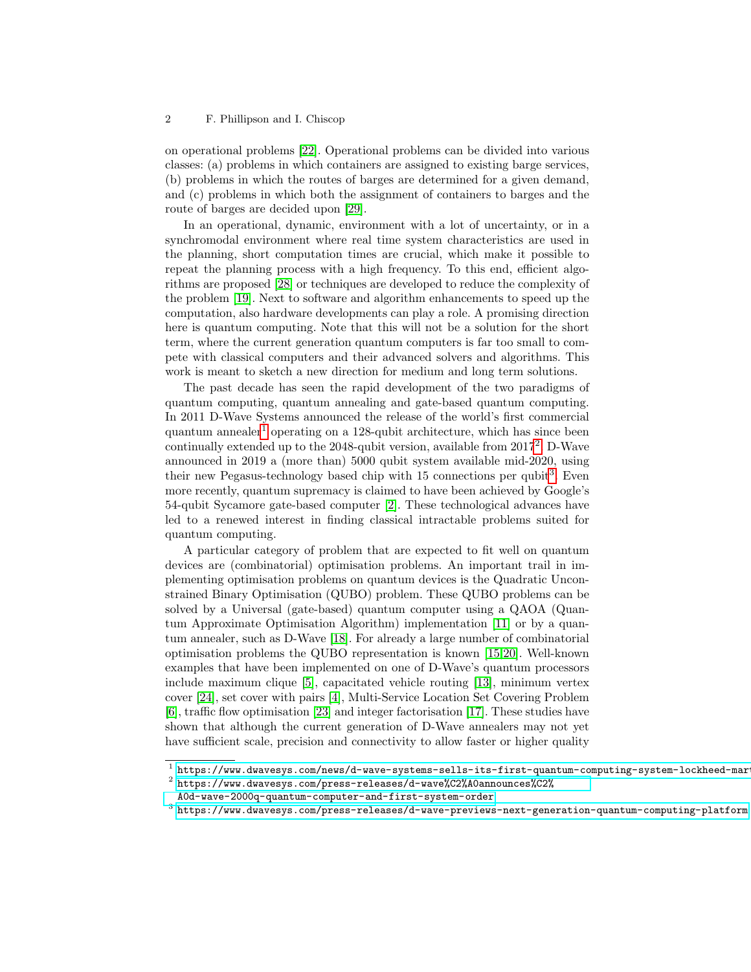on operational problems [\[22\]](#page-12-0). Operational problems can be divided into various classes: (a) problems in which containers are assigned to existing barge services, (b) problems in which the routes of barges are determined for a given demand, and (c) problems in which both the assignment of containers to barges and the route of barges are decided upon [\[29\]](#page-13-2).

In an operational, dynamic, environment with a lot of uncertainty, or in a synchromodal environment where real time system characteristics are used in the planning, short computation times are crucial, which make it possible to repeat the planning process with a high frequency. To this end, efficient algorithms are proposed [\[28\]](#page-13-0) or techniques are developed to reduce the complexity of the problem [\[19\]](#page-12-1). Next to software and algorithm enhancements to speed up the computation, also hardware developments can play a role. A promising direction here is quantum computing. Note that this will not be a solution for the short term, where the current generation quantum computers is far too small to compete with classical computers and their advanced solvers and algorithms. This work is meant to sketch a new direction for medium and long term solutions.

The past decade has seen the rapid development of the two paradigms of quantum computing, quantum annealing and gate-based quantum computing. In 2011 D-Wave Systems announced the release of the world's first commercial quantum annealer<sup>[1](#page-1-0)</sup> operating on a 128-qubit architecture, which has since been continually extended up to the [2](#page-1-1)048-qubit version, available from 2017<sup>2</sup>. D-Wave announced in 2019 a (more than) 5000 qubit system available mid-2020, using their new Pegasus-technology based chip with  $15$  connections per qubit<sup>[3](#page-1-2)</sup>. Even more recently, quantum supremacy is claimed to have been achieved by Google's 54-qubit Sycamore gate-based computer [\[2\]](#page-11-0). These technological advances have led to a renewed interest in finding classical intractable problems suited for quantum computing.

A particular category of problem that are expected to fit well on quantum devices are (combinatorial) optimisation problems. An important trail in implementing optimisation problems on quantum devices is the Quadratic Unconstrained Binary Optimisation (QUBO) problem. These QUBO problems can be solved by a Universal (gate-based) quantum computer using a QAOA (Quantum Approximate Optimisation Algorithm) implementation [\[11\]](#page-12-2) or by a quantum annealer, such as D-Wave [\[18\]](#page-12-3). For already a large number of combinatorial optimisation problems the QUBO representation is known [\[15,](#page-12-4)[20\]](#page-12-5). Well-known examples that have been implemented on one of D-Wave's quantum processors include maximum clique [\[5\]](#page-12-6), capacitated vehicle routing [\[13\]](#page-12-7), minimum vertex cover [\[24\]](#page-12-8), set cover with pairs [\[4\]](#page-11-1), Multi-Service Location Set Covering Problem [\[6\]](#page-12-9), traffic flow optimisation [\[23\]](#page-12-10) and integer factorisation [\[17\]](#page-12-11). These studies have shown that although the current generation of D-Wave annealers may not yet have sufficient scale, precision and connectivity to allow faster or higher quality

<span id="page-1-0"></span> $^{\rm 1}$  https://www.dwavesys.com/news/d-wave-systems-sells-its-first-quantum-computing-system-lockheed-mar $^{\rm 1}$ 

<span id="page-1-1"></span> $^2$  [https://www.dwavesys.com/press-releases/d-wave%C2%A0announces%C2%](https://www.dwavesys.com/press-releases/d-wave%C2%A0announces%C2%A0d-wave-2000q-quantum-computer-and-first-system-order)

<span id="page-1-2"></span>[A0d-wave-2000q-quantum-computer-and-first-system-order](https://www.dwavesys.com/press-releases/d-wave%C2%A0announces%C2%A0d-wave-2000q-quantum-computer-and-first-system-order)

 $^3$  <https://www.dwavesys.com/press-releases/d-wave-previews-next-generation-quantum-computing-platform>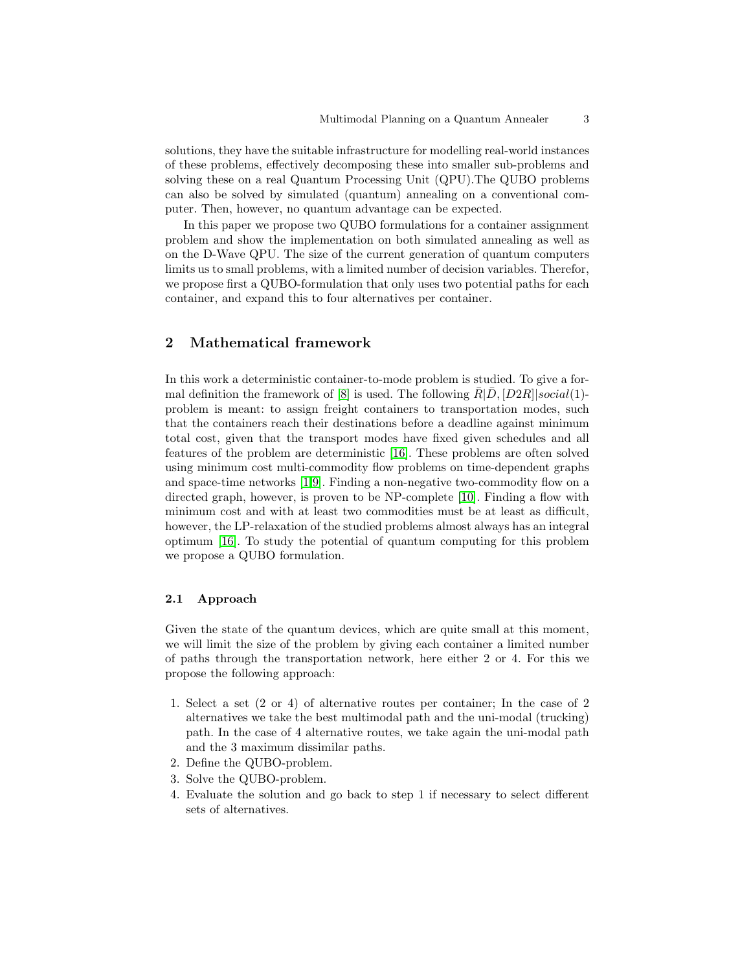solutions, they have the suitable infrastructure for modelling real-world instances of these problems, effectively decomposing these into smaller sub-problems and solving these on a real Quantum Processing Unit (QPU).The QUBO problems can also be solved by simulated (quantum) annealing on a conventional computer. Then, however, no quantum advantage can be expected.

In this paper we propose two QUBO formulations for a container assignment problem and show the implementation on both simulated annealing as well as on the D-Wave QPU. The size of the current generation of quantum computers limits us to small problems, with a limited number of decision variables. Therefor, we propose first a QUBO-formulation that only uses two potential paths for each container, and expand this to four alternatives per container.

# 2 Mathematical framework

In this work a deterministic container-to-mode problem is studied. To give a for-mal definition the framework of [\[8\]](#page-12-12) is used. The following  $R[D, [D2R]|social(1)$ problem is meant: to assign freight containers to transportation modes, such that the containers reach their destinations before a deadline against minimum total cost, given that the transport modes have fixed given schedules and all features of the problem are deterministic [\[16\]](#page-12-13). These problems are often solved using minimum cost multi-commodity flow problems on time-dependent graphs and space-time networks [\[1,](#page-11-2)[9\]](#page-12-14). Finding a non-negative two-commodity flow on a directed graph, however, is proven to be NP-complete [\[10\]](#page-12-15). Finding a flow with minimum cost and with at least two commodities must be at least as difficult, however, the LP-relaxation of the studied problems almost always has an integral optimum [\[16\]](#page-12-13). To study the potential of quantum computing for this problem we propose a QUBO formulation.

## 2.1 Approach

Given the state of the quantum devices, which are quite small at this moment, we will limit the size of the problem by giving each container a limited number of paths through the transportation network, here either 2 or 4. For this we propose the following approach:

- 1. Select a set (2 or 4) of alternative routes per container; In the case of 2 alternatives we take the best multimodal path and the uni-modal (trucking) path. In the case of 4 alternative routes, we take again the uni-modal path and the 3 maximum dissimilar paths.
- 2. Define the QUBO-problem.
- 3. Solve the QUBO-problem.
- 4. Evaluate the solution and go back to step 1 if necessary to select different sets of alternatives.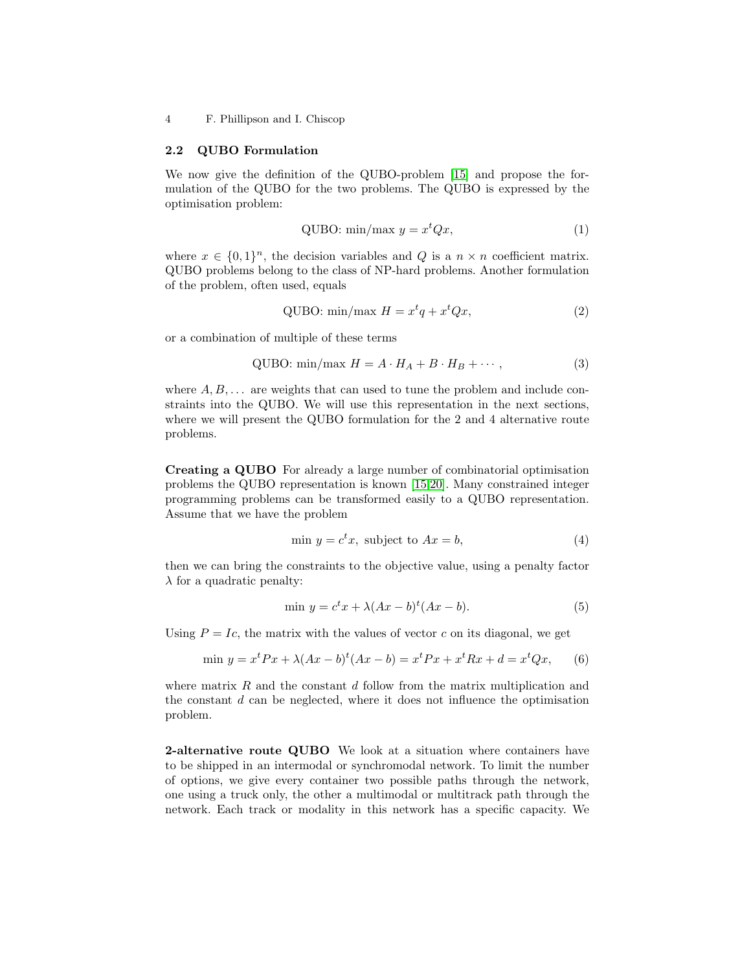4 F. Phillipson and I. Chiscop

### 2.2 QUBO Formulation

We now give the definition of the QUBO-problem [\[15\]](#page-12-4) and propose the formulation of the QUBO for the two problems. The QUBO is expressed by the optimisation problem:

<span id="page-3-0"></span>
$$
QUBO: min/max y = xtQx,
$$
\n(1)

where  $x \in \{0,1\}^n$ , the decision variables and Q is a  $n \times n$  coefficient matrix. QUBO problems belong to the class of NP-hard problems. Another formulation of the problem, often used, equals

<span id="page-3-1"></span>
$$
QUBO: min/max H = x^t q + x^t Qx,
$$
\n(2)

or a combination of multiple of these terms

$$
QUBO: min/max H = A \cdot H_A + B \cdot H_B + \cdots,
$$
\n(3)

where  $A, B, \ldots$  are weights that can used to tune the problem and include constraints into the QUBO. We will use this representation in the next sections, where we will present the QUBO formulation for the 2 and 4 alternative route problems.

Creating a QUBO For already a large number of combinatorial optimisation problems the QUBO representation is known [\[15,](#page-12-4)[20\]](#page-12-5). Many constrained integer programming problems can be transformed easily to a QUBO representation. Assume that we have the problem

$$
\min y = c^t x, \text{ subject to } Ax = b,\tag{4}
$$

then we can bring the constraints to the objective value, using a penalty factor  $\lambda$  for a quadratic penalty:

$$
\min y = c^t x + \lambda (Ax - b)^t (Ax - b). \tag{5}
$$

Using  $P = I_c$ , the matrix with the values of vector c on its diagonal, we get

$$
\min y = x^t P x + \lambda (Ax - b)^t (Ax - b) = x^t P x + x^t Rx + d = x^t Q x,\qquad(6)
$$

where matrix  $R$  and the constant  $d$  follow from the matrix multiplication and the constant d can be neglected, where it does not influence the optimisation problem.

2-alternative route QUBO We look at a situation where containers have to be shipped in an intermodal or synchromodal network. To limit the number of options, we give every container two possible paths through the network, one using a truck only, the other a multimodal or multitrack path through the network. Each track or modality in this network has a specific capacity. We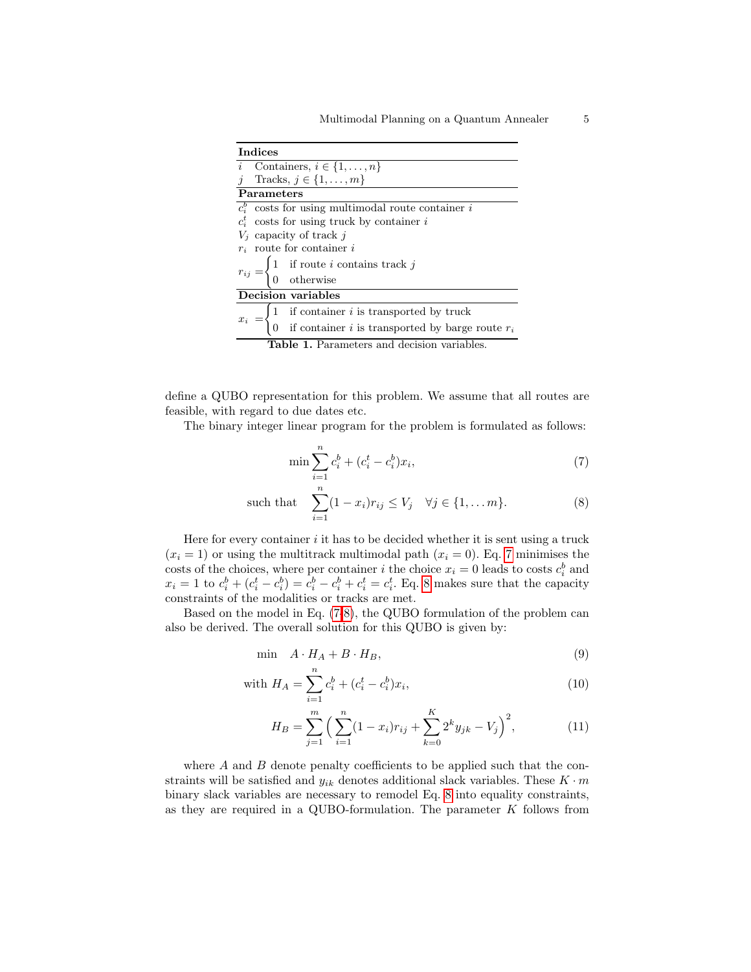| <b>Indices</b>                                                                                                                                                        |  |  |  |  |  |  |  |
|-----------------------------------------------------------------------------------------------------------------------------------------------------------------------|--|--|--|--|--|--|--|
| <i>i</i> Containers, $i \in \{1, \ldots, n\}$                                                                                                                         |  |  |  |  |  |  |  |
| Tracks, $j \in \{1, \ldots, m\}$                                                                                                                                      |  |  |  |  |  |  |  |
| Parameters                                                                                                                                                            |  |  |  |  |  |  |  |
| $c_i^b$ costs for using multimodal route container i                                                                                                                  |  |  |  |  |  |  |  |
| $c_i^t$ costs for using truck by container i                                                                                                                          |  |  |  |  |  |  |  |
| $V_i$ capacity of track j                                                                                                                                             |  |  |  |  |  |  |  |
| $r_i$ route for container i                                                                                                                                           |  |  |  |  |  |  |  |
| $r_{ij} = \begin{cases} 1 & \text{if route } i \text{ contains track } j \\ 0 & \text{otherwise} \end{cases}$                                                         |  |  |  |  |  |  |  |
|                                                                                                                                                                       |  |  |  |  |  |  |  |
| Decision variables                                                                                                                                                    |  |  |  |  |  |  |  |
|                                                                                                                                                                       |  |  |  |  |  |  |  |
| $x_i = \begin{cases} 1 & \text{if container } i \text{ is transported by truck} \\ 0 & \text{if container } i \text{ is transported by barge route } r_i \end{cases}$ |  |  |  |  |  |  |  |
| Table 1. Parameters and decision variables.                                                                                                                           |  |  |  |  |  |  |  |

define a QUBO representation for this problem. We assume that all routes are feasible, with regard to due dates etc.

The binary integer linear program for the problem is formulated as follows:

<span id="page-4-1"></span><span id="page-4-0"></span>
$$
\min \sum_{i=1}^{n} c_i^b + (c_i^t - c_i^b)x_i,
$$
\n(7)

such that 
$$
\sum_{i=1}^{n} (1 - x_i) r_{ij} \le V_j \quad \forall j \in \{1, ..., m\}.
$$
 (8)

Here for every container  $i$  it has to be decided whether it is sent using a truck  $(x_i = 1)$  or using the multitrack multimodal path  $(x_i = 0)$ . Eq. [7](#page-4-0) minimises the costs of the choices, where per container *i* the choice  $x_i = 0$  leads to costs  $c_i^b$  and  $x_i = 1$  to  $c_i^b + (c_i^t - c_i^b) = c_i^b - c_i^b + c_i^t = c_i^t$ . Eq. [8](#page-4-1) makes sure that the capacity constraints of the modalities or tracks are met.

Based on the model in Eq. [\(7](#page-4-0)[-8\)](#page-4-1), the QUBO formulation of the problem can also be derived. The overall solution for this QUBO is given by:

$$
\min \quad A \cdot H_A + B \cdot H_B,\tag{9}
$$

with 
$$
H_A = \sum_{i=1}^{n} c_i^b + (c_i^t - c_i^b)x_i,
$$
 (10)

<span id="page-4-3"></span><span id="page-4-2"></span>
$$
H_B = \sum_{j=1}^{m} \left( \sum_{i=1}^{n} (1 - x_i) r_{ij} + \sum_{k=0}^{K} 2^k y_{jk} - V_j \right)^2, \tag{11}
$$

where  $A$  and  $B$  denote penalty coefficients to be applied such that the constraints will be satisfied and  $y_{ik}$  denotes additional slack variables. These  $K \cdot m$ binary slack variables are necessary to remodel Eq. [8](#page-4-1) into equality constraints, as they are required in a QUBO-formulation. The parameter  $K$  follows from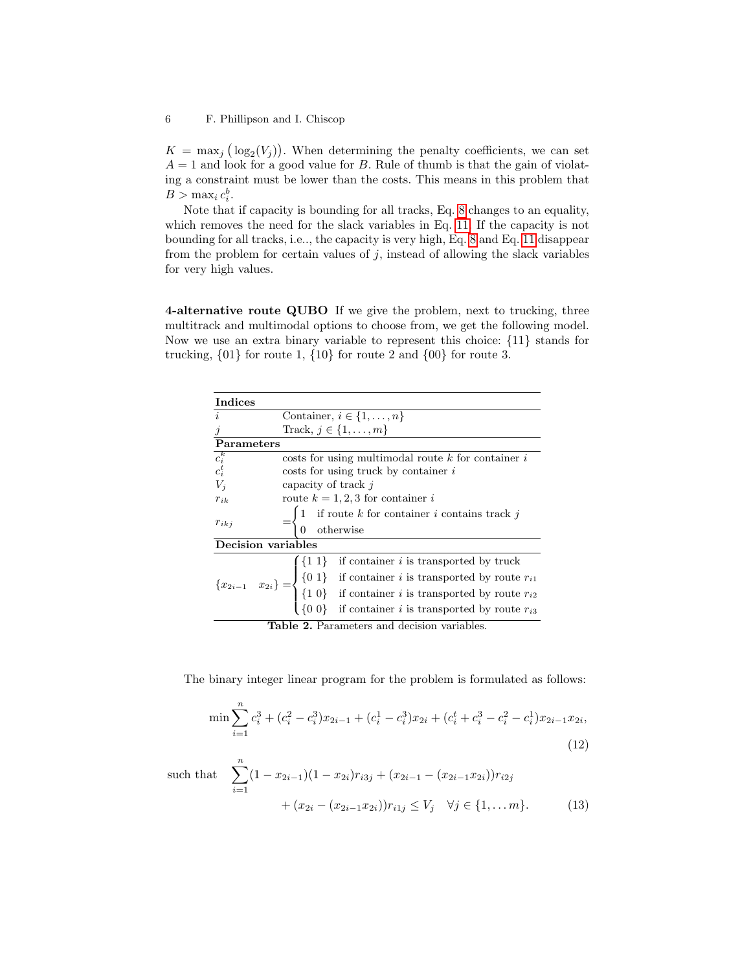$K = \max_j (\log_2(V_j))$ . When determining the penalty coefficients, we can set  $A = 1$  and look for a good value for B. Rule of thumb is that the gain of violating a constraint must be lower than the costs. This means in this problem that  $B > \max_i c_i^b$ .

Note that if capacity is bounding for all tracks, Eq. [8](#page-4-1) changes to an equality, which removes the need for the slack variables in Eq. [11.](#page-4-2) If the capacity is not bounding for all tracks, i.e.., the capacity is very high, Eq. [8](#page-4-1) and Eq. [11](#page-4-2) disappear from the problem for certain values of  $j$ , instead of allowing the slack variables for very high values.

4-alternative route QUBO If we give the problem, next to trucking, three multitrack and multimodal options to choose from, we get the following model. Now we use an extra binary variable to represent this choice: {11} stands for trucking,  $\{01\}$  for route 1,  $\{10\}$  for route 2 and  $\{00\}$  for route 3.

| <b>Indices</b>                |                                                                                                                                                                                                                                                                                                                                                                            |  |  |  |  |  |  |  |  |
|-------------------------------|----------------------------------------------------------------------------------------------------------------------------------------------------------------------------------------------------------------------------------------------------------------------------------------------------------------------------------------------------------------------------|--|--|--|--|--|--|--|--|
| $\overline{\imath}$           | Container, $i \in \{1, \ldots, n\}$                                                                                                                                                                                                                                                                                                                                        |  |  |  |  |  |  |  |  |
|                               | Track, $j \in \{1, \ldots, m\}$                                                                                                                                                                                                                                                                                                                                            |  |  |  |  |  |  |  |  |
| Parameters                    |                                                                                                                                                                                                                                                                                                                                                                            |  |  |  |  |  |  |  |  |
| $\overline{c_i^k}$<br>$c_i^t$ | $\cos$ ts for using multimodal route k for container i                                                                                                                                                                                                                                                                                                                     |  |  |  |  |  |  |  |  |
|                               | $\cos t$ for using truck by container i                                                                                                                                                                                                                                                                                                                                    |  |  |  |  |  |  |  |  |
| $V_i$                         | capacity of track $j$                                                                                                                                                                                                                                                                                                                                                      |  |  |  |  |  |  |  |  |
| $r_{ik}$                      | route $k = 1, 2, 3$ for container i                                                                                                                                                                                                                                                                                                                                        |  |  |  |  |  |  |  |  |
| $r_{ikj}$                     | $= \begin{cases} 1 & \text{if route } k \text{ for container } i \text{ contains track } j \\ 0 & \text{otherwise} \end{cases}$                                                                                                                                                                                                                                            |  |  |  |  |  |  |  |  |
| Decision variables            |                                                                                                                                                                                                                                                                                                                                                                            |  |  |  |  |  |  |  |  |
|                               |                                                                                                                                                                                                                                                                                                                                                                            |  |  |  |  |  |  |  |  |
|                               |                                                                                                                                                                                                                                                                                                                                                                            |  |  |  |  |  |  |  |  |
|                               |                                                                                                                                                                                                                                                                                                                                                                            |  |  |  |  |  |  |  |  |
|                               |                                                                                                                                                                                                                                                                                                                                                                            |  |  |  |  |  |  |  |  |
|                               | $\overline{\{x_{2i-1}\quad x_{2i}\}} = \begin{cases} \{1\ 1\} & \text{if container } i \text{ is transported by truck} \\ \{0\ 1\} & \text{if container } i \text{ is transported by route } r_{i1} \\ \{1\ 0\} & \text{if container } i \text{ is transported by route } r_{i2} \\ \{0\ 0\} & \text{if container } i \text{ is transported by route } r_{i3} \end{cases}$ |  |  |  |  |  |  |  |  |

<span id="page-5-1"></span><span id="page-5-0"></span>Table 2. Parameters and decision variables.

The binary integer linear program for the problem is formulated as follows:

$$
\min \sum_{i=1}^{n} c_i^3 + (c_i^2 - c_i^3)x_{2i-1} + (c_i^1 - c_i^3)x_{2i} + (c_i^t + c_i^3 - c_i^2 - c_i^1)x_{2i-1}x_{2i},
$$
\n(12)

such that 
$$
\sum_{i=1}^{n} (1 - x_{2i-1})(1 - x_{2i})r_{i3j} + (x_{2i-1} - (x_{2i-1}x_{2i}))r_{i2j} + (x_{2i} - (x_{2i-1}x_{2i}))r_{i1j} \le V_j \quad \forall j \in \{1, \dots m\}.
$$
 (13)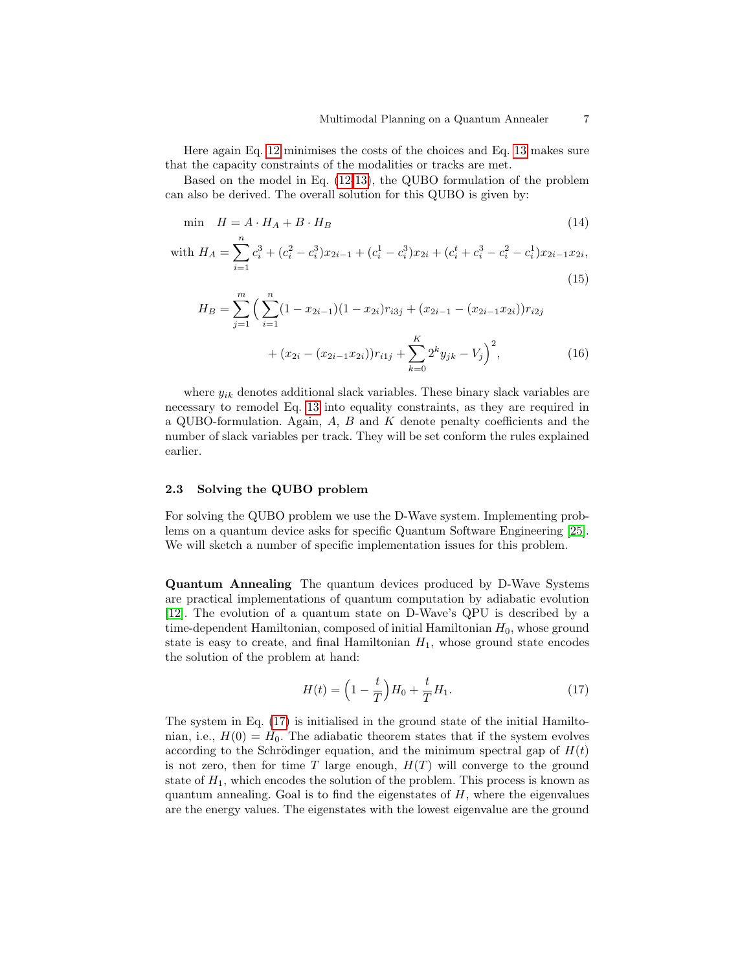Here again Eq. [12](#page-5-0) minimises the costs of the choices and Eq. [13](#page-5-1) makes sure that the capacity constraints of the modalities or tracks are met.

Based on the model in Eq. [\(12](#page-5-0)[-13\)](#page-5-1), the QUBO formulation of the problem can also be derived. The overall solution for this QUBO is given by:

$$
\min \quad H = A \cdot H_A + B \cdot H_B \tag{14}
$$

with 
$$
H_A = \sum_{i=1}^{n} c_i^3 + (c_i^2 - c_i^3)x_{2i-1} + (c_i^1 - c_i^3)x_{2i} + (c_i^t + c_i^3 - c_i^2 - c_i^1)x_{2i-1}x_{2i},
$$
\n
$$
(15)
$$

$$
H_B = \sum_{j=1}^{m} \left( \sum_{i=1}^{n} (1 - x_{2i-1})(1 - x_{2i})r_{i3j} + (x_{2i-1} - (x_{2i-1}x_{2i}))r_{i2j} + (x_{2i} - (x_{2i-1}x_{2i}))r_{i1j} + \sum_{k=0}^{K} 2^k y_{jk} - V_j \right)^2,
$$
\n(16)

where  $y_{ik}$  denotes additional slack variables. These binary slack variables are necessary to remodel Eq. [13](#page-5-1) into equality constraints, as they are required in a QUBO-formulation. Again,  $A, B$  and  $K$  denote penalty coefficients and the number of slack variables per track. They will be set conform the rules explained earlier.

### 2.3 Solving the QUBO problem

For solving the QUBO problem we use the D-Wave system. Implementing problems on a quantum device asks for specific Quantum Software Engineering [\[25\]](#page-13-3). We will sketch a number of specific implementation issues for this problem.

Quantum Annealing The quantum devices produced by D-Wave Systems are practical implementations of quantum computation by adiabatic evolution [\[12\]](#page-12-16). The evolution of a quantum state on D-Wave's QPU is described by a time-dependent Hamiltonian, composed of initial Hamiltonian  $H_0$ , whose ground state is easy to create, and final Hamiltonian  $H_1$ , whose ground state encodes the solution of the problem at hand:

<span id="page-6-0"></span>
$$
H(t) = \left(1 - \frac{t}{T}\right)H_0 + \frac{t}{T}H_1.
$$
\n(17)

The system in Eq. [\(17\)](#page-6-0) is initialised in the ground state of the initial Hamiltonian, i.e.,  $H(0) = H_0$ . The adiabatic theorem states that if the system evolves according to the Schrödinger equation, and the minimum spectral gap of  $H(t)$ is not zero, then for time  $T$  large enough,  $H(T)$  will converge to the ground state of  $H_1$ , which encodes the solution of the problem. This process is known as quantum annealing. Goal is to find the eigenstates of  $H$ , where the eigenvalues are the energy values. The eigenstates with the lowest eigenvalue are the ground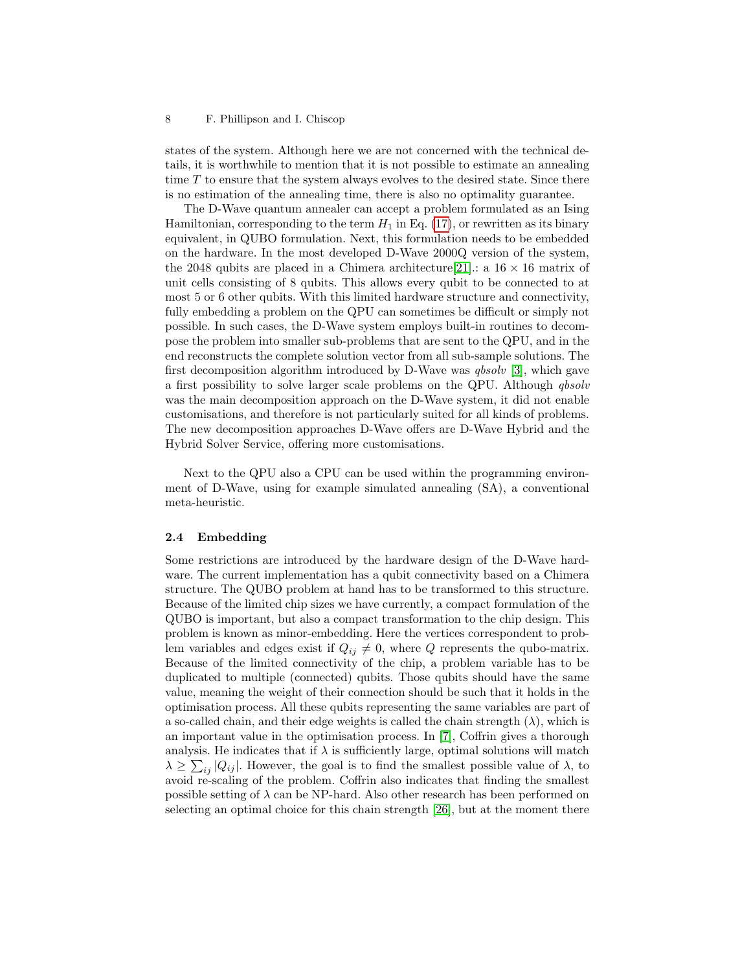#### 8 F. Phillipson and I. Chiscop

states of the system. Although here we are not concerned with the technical details, it is worthwhile to mention that it is not possible to estimate an annealing time T to ensure that the system always evolves to the desired state. Since there is no estimation of the annealing time, there is also no optimality guarantee.

The D-Wave quantum annealer can accept a problem formulated as an Ising Hamiltonian, corresponding to the term  $H_1$  in Eq. [\(17\)](#page-6-0), or rewritten as its binary equivalent, in QUBO formulation. Next, this formulation needs to be embedded on the hardware. In the most developed D-Wave 2000Q version of the system, the 2048 qubits are placed in a Chimera architecture [\[21\]](#page-12-17).: a  $16 \times 16$  matrix of unit cells consisting of 8 qubits. This allows every qubit to be connected to at most 5 or 6 other qubits. With this limited hardware structure and connectivity, fully embedding a problem on the QPU can sometimes be difficult or simply not possible. In such cases, the D-Wave system employs built-in routines to decompose the problem into smaller sub-problems that are sent to the QPU, and in the end reconstructs the complete solution vector from all sub-sample solutions. The first decomposition algorithm introduced by D-Wave was qbsolv [\[3\]](#page-11-3), which gave a first possibility to solve larger scale problems on the QPU. Although *qbsolv* was the main decomposition approach on the D-Wave system, it did not enable customisations, and therefore is not particularly suited for all kinds of problems. The new decomposition approaches D-Wave offers are D-Wave Hybrid and the Hybrid Solver Service, offering more customisations.

Next to the QPU also a CPU can be used within the programming environment of D-Wave, using for example simulated annealing (SA), a conventional meta-heuristic.

#### 2.4 Embedding

Some restrictions are introduced by the hardware design of the D-Wave hardware. The current implementation has a qubit connectivity based on a Chimera structure. The QUBO problem at hand has to be transformed to this structure. Because of the limited chip sizes we have currently, a compact formulation of the QUBO is important, but also a compact transformation to the chip design. This problem is known as minor-embedding. Here the vertices correspondent to problem variables and edges exist if  $Q_{ij} \neq 0$ , where Q represents the qubo-matrix. Because of the limited connectivity of the chip, a problem variable has to be duplicated to multiple (connected) qubits. Those qubits should have the same value, meaning the weight of their connection should be such that it holds in the optimisation process. All these qubits representing the same variables are part of a so-called chain, and their edge weights is called the chain strength  $(\lambda)$ , which is an important value in the optimisation process. In [\[7\]](#page-12-18), Coffrin gives a thorough analysis. He indicates that if  $\lambda$  is sufficiently large, optimal solutions will match  $\lambda \geq \sum_{ij} |Q_{ij}|$ . However, the goal is to find the smallest possible value of  $\lambda$ , to avoid re-scaling of the problem. Coffrin also indicates that finding the smallest possible setting of  $\lambda$  can be NP-hard. Also other research has been performed on selecting an optimal choice for this chain strength [\[26\]](#page-13-4), but at the moment there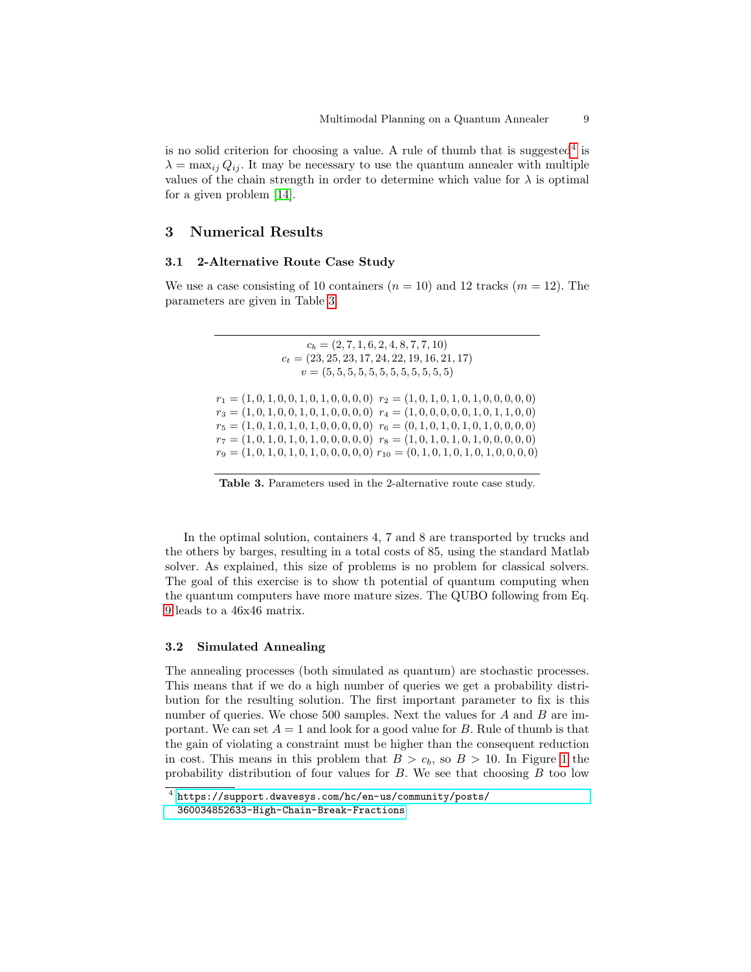is no solid criterion for choosing a value. A rule of thumb that is suggested<sup>[4](#page-8-0)</sup> is  $\lambda = \max_{ij} Q_{ij}$ . It may be necessary to use the quantum annealer with multiple values of the chain strength in order to determine which value for  $\lambda$  is optimal for a given problem [\[14\]](#page-12-19).

## 3 Numerical Results

## 3.1 2-Alternative Route Case Study

We use a case consisting of 10 containers  $(n = 10)$  and 12 tracks  $(m = 12)$ . The parameters are given in Table [3.](#page-8-1)

```
c_b = (2, 7, 1, 6, 2, 4, 8, 7, 7, 10)c_t = (23, 25, 23, 17, 24, 22, 19, 16, 21, 17)v = (5, 5, 5, 5, 5, 5, 5, 5, 5, 5, 5, 5)
```
 $r_1 = (1, 0, 1, 0, 0, 1, 0, 1, 0, 0, 0, 0)$   $r_2 = (1, 0, 1, 0, 1, 0, 1, 0, 0, 0, 0, 0)$  $r_3 = (1, 0, 1, 0, 0, 1, 0, 1, 0, 0, 0, 0)$   $r_4 = (1, 0, 0, 0, 0, 0, 1, 0, 1, 1, 0, 0)$  $r_5 = (1, 0, 1, 0, 1, 0, 1, 0, 0, 0, 0, 0)$   $r_6 = (0, 1, 0, 1, 0, 1, 0, 1, 0, 0, 0, 0)$  $r_7 = (1, 0, 1, 0, 1, 0, 1, 0, 0, 0, 0, 0)$   $r_8 = (1, 0, 1, 0, 1, 0, 1, 0, 0, 0, 0, 0)$  $r_9 = (1, 0, 1, 0, 1, 0, 1, 0, 0, 0, 0, 0)$   $r_{10} = (0, 1, 0, 1, 0, 1, 0, 1, 0, 0, 0, 0)$ 

<span id="page-8-1"></span>

In the optimal solution, containers 4, 7 and 8 are transported by trucks and the others by barges, resulting in a total costs of 85, using the standard Matlab solver. As explained, this size of problems is no problem for classical solvers. The goal of this exercise is to show th potential of quantum computing when the quantum computers have more mature sizes. The QUBO following from Eq. [9](#page-4-3) leads to a 46x46 matrix.

## 3.2 Simulated Annealing

The annealing processes (both simulated as quantum) are stochastic processes. This means that if we do a high number of queries we get a probability distribution for the resulting solution. The first important parameter to fix is this number of queries. We chose 500 samples. Next the values for  $A$  and  $B$  are important. We can set  $A = 1$  and look for a good value for B. Rule of thumb is that the gain of violating a constraint must be higher than the consequent reduction in cost. This means in this problem that  $B > c_b$ , so  $B > 10$  $B > 10$  $B > 10$ . In Figure 1 the probability distribution of four values for  $B$ . We see that choosing  $B$  too low

<span id="page-8-0"></span><sup>4</sup> [https://support.dwavesys.com/hc/en-us/community/posts/](https://support.dwavesys.com/hc/en-us/community/posts/360034852633-High-Chain-Break-Fractions)

[<sup>360034852633-</sup>High-Chain-Break-Fractions](https://support.dwavesys.com/hc/en-us/community/posts/360034852633-High-Chain-Break-Fractions)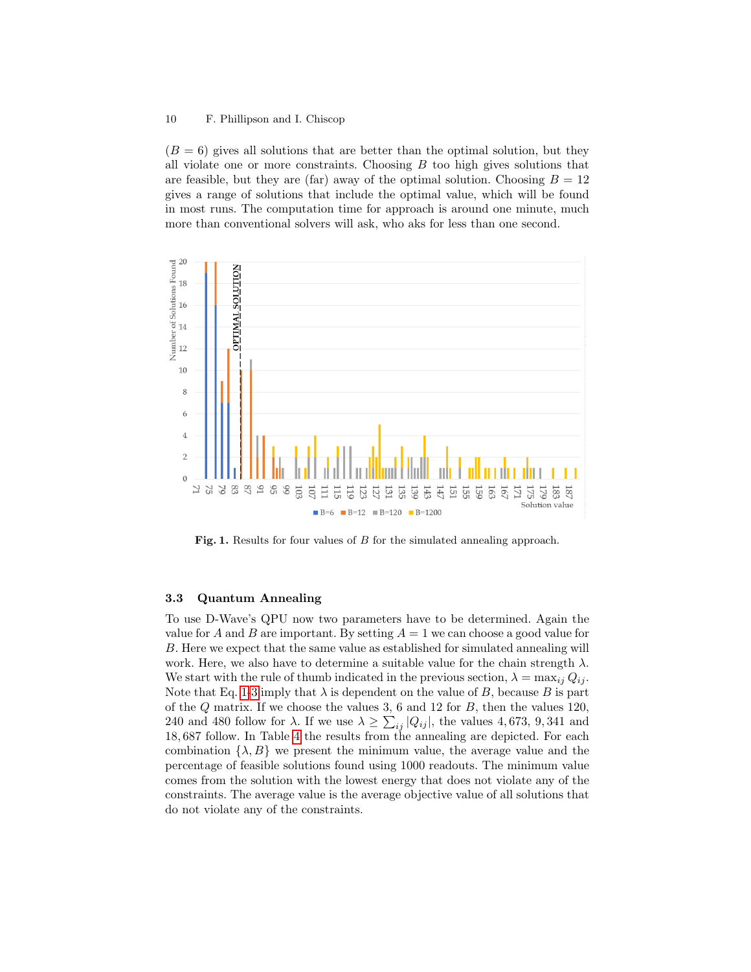#### 10 F. Phillipson and I. Chiscop

 $(B = 6)$  gives all solutions that are better than the optimal solution, but they all violate one or more constraints. Choosing  $B$  too high gives solutions that are feasible, but they are (far) away of the optimal solution. Choosing  $B = 12$ gives a range of solutions that include the optimal value, which will be found in most runs. The computation time for approach is around one minute, much more than conventional solvers will ask, who aks for less than one second.



<span id="page-9-0"></span>Fig. 1. Results for four values of B for the simulated annealing approach.

#### 3.3 Quantum Annealing

To use D-Wave's QPU now two parameters have to be determined. Again the value for A and B are important. By setting  $A = 1$  we can choose a good value for B. Here we expect that the same value as established for simulated annealing will work. Here, we also have to determine a suitable value for the chain strength  $\lambda$ . We start with the rule of thumb indicated in the previous section,  $\lambda = \max_{i} Q_{ii}$ . Note that Eq. [1-](#page-3-0)[3](#page-3-1) imply that  $\lambda$  is dependent on the value of B, because B is part of the  $Q$  matrix. If we choose the values 3, 6 and 12 for  $B$ , then the values 120, 240 and 480 follow for  $\lambda$ . If we use  $\lambda \geq \sum_{ij} |Q_{ij}|$ , the values 4,673, 9,341 and 18, 687 follow. In Table [4](#page-10-0) the results from the annealing are depicted. For each combination  $\{\lambda, B\}$  we present the minimum value, the average value and the percentage of feasible solutions found using 1000 readouts. The minimum value comes from the solution with the lowest energy that does not violate any of the constraints. The average value is the average objective value of all solutions that do not violate any of the constraints.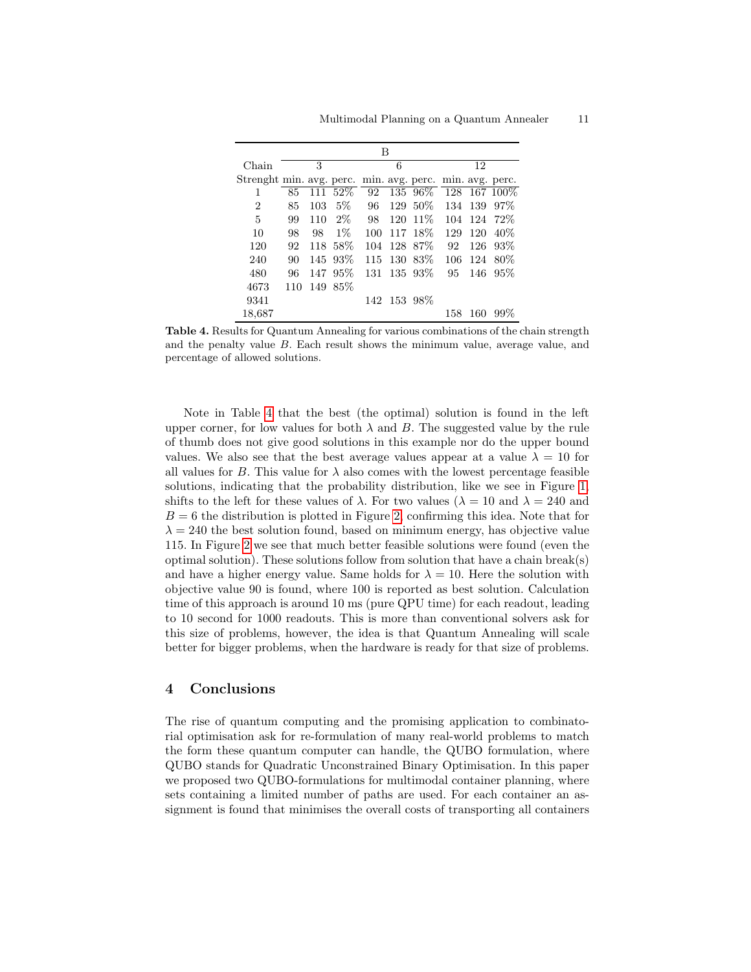| B                        |     |     |       |     |     |                 |     |     |                 |  |
|--------------------------|-----|-----|-------|-----|-----|-----------------|-----|-----|-----------------|--|
| Chain                    | 3   |     |       | 6   |     |                 | 12  |     |                 |  |
| Strenght min. avg. perc. |     |     |       |     |     | min. avg. perc. |     |     | min. avg. perc. |  |
| 1                        | 85  | 111 | 52%   | 92  |     | 135 96%         | 128 |     | 167 100\%       |  |
| $\overline{2}$           | 85  | 103 | 5%    | 96  | 129 | 50%             | 134 | 139 | 97%             |  |
| 5                        | 99  | 110 | $2\%$ | 98  | 120 | $11\%$          | 104 | 124 | 72%             |  |
| 10                       | 98  | 98  | $1\%$ | 100 | 117 | 18\%            | 129 | 120 | 40%             |  |
| 120                      | 92  | 118 | 58%   | 104 | 128 | 87\%            | 92  | 126 | 93%             |  |
| 240                      | 90  | 145 | 93%   | 115 | 130 | 83%             | 106 | 124 | 80%             |  |
| 480                      | 96  | 147 | 95%   | 131 |     | 135 93%         | 95  | 146 | 95%             |  |
| 4673                     | 110 | 149 | 85%   |     |     |                 |     |     |                 |  |
| 9341                     |     |     |       | 142 |     | 153 98%         |     |     |                 |  |
| 18,687                   |     |     |       |     |     |                 | 158 | 160 |                 |  |

<span id="page-10-0"></span>Table 4. Results for Quantum Annealing for various combinations of the chain strength and the penalty value B. Each result shows the minimum value, average value, and percentage of allowed solutions.

Note in Table [4](#page-10-0) that the best (the optimal) solution is found in the left upper corner, for low values for both  $\lambda$  and B. The suggested value by the rule of thumb does not give good solutions in this example nor do the upper bound values. We also see that the best average values appear at a value  $\lambda = 10$  for all values for B. This value for  $\lambda$  also comes with the lowest percentage feasible solutions, indicating that the probability distribution, like we see in Figure [1,](#page-9-0) shifts to the left for these values of  $\lambda$ . For two values ( $\lambda = 10$  and  $\lambda = 240$  and  $B = 6$  the distribution is plotted in Figure [2,](#page-11-4) confirming this idea. Note that for  $\lambda = 240$  the best solution found, based on minimum energy, has objective value 115. In Figure [2](#page-11-4) we see that much better feasible solutions were found (even the optimal solution). These solutions follow from solution that have a chain break(s) and have a higher energy value. Same holds for  $\lambda = 10$ . Here the solution with objective value 90 is found, where 100 is reported as best solution. Calculation time of this approach is around 10 ms (pure QPU time) for each readout, leading to 10 second for 1000 readouts. This is more than conventional solvers ask for this size of problems, however, the idea is that Quantum Annealing will scale better for bigger problems, when the hardware is ready for that size of problems.

## 4 Conclusions

The rise of quantum computing and the promising application to combinatorial optimisation ask for re-formulation of many real-world problems to match the form these quantum computer can handle, the QUBO formulation, where QUBO stands for Quadratic Unconstrained Binary Optimisation. In this paper we proposed two QUBO-formulations for multimodal container planning, where sets containing a limited number of paths are used. For each container an assignment is found that minimises the overall costs of transporting all containers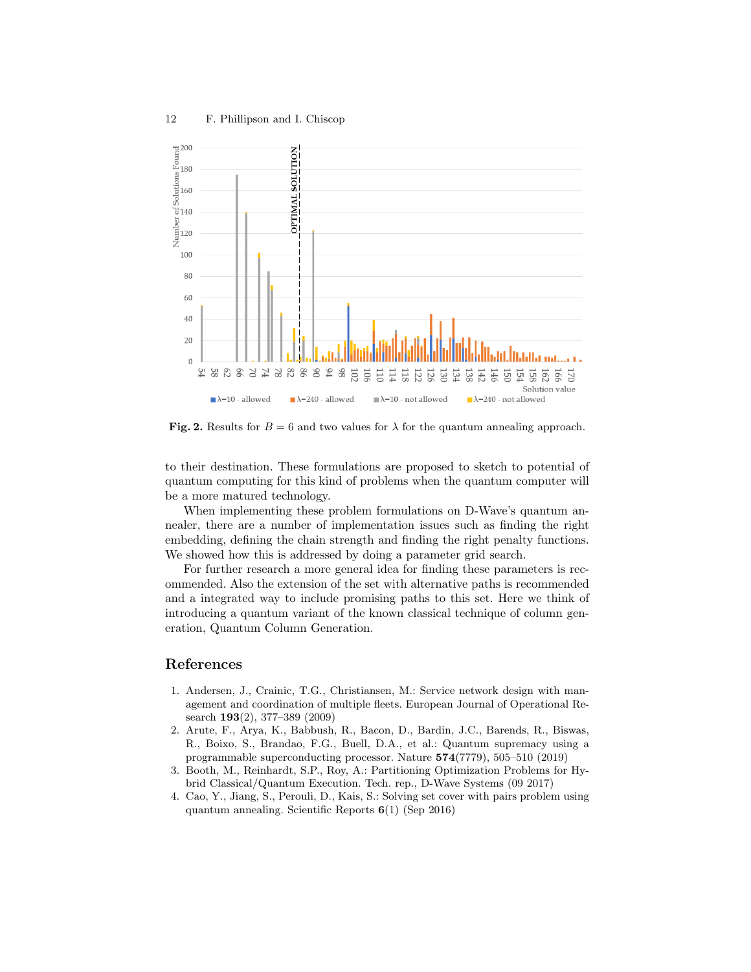

<span id="page-11-4"></span>Fig. 2. Results for  $B = 6$  and two values for  $\lambda$  for the quantum annealing approach.

to their destination. These formulations are proposed to sketch to potential of quantum computing for this kind of problems when the quantum computer will be a more matured technology.

When implementing these problem formulations on D-Wave's quantum annealer, there are a number of implementation issues such as finding the right embedding, defining the chain strength and finding the right penalty functions. We showed how this is addressed by doing a parameter grid search.

For further research a more general idea for finding these parameters is recommended. Also the extension of the set with alternative paths is recommended and a integrated way to include promising paths to this set. Here we think of introducing a quantum variant of the known classical technique of column generation, Quantum Column Generation.

# References

- <span id="page-11-2"></span>1. Andersen, J., Crainic, T.G., Christiansen, M.: Service network design with management and coordination of multiple fleets. European Journal of Operational Research 193(2), 377–389 (2009)
- <span id="page-11-0"></span>2. Arute, F., Arya, K., Babbush, R., Bacon, D., Bardin, J.C., Barends, R., Biswas, R., Boixo, S., Brandao, F.G., Buell, D.A., et al.: Quantum supremacy using a programmable superconducting processor. Nature 574(7779), 505–510 (2019)
- <span id="page-11-3"></span>3. Booth, M., Reinhardt, S.P., Roy, A.: Partitioning Optimization Problems for Hybrid Classical/Quantum Execution. Tech. rep., D-Wave Systems (09 2017)
- <span id="page-11-1"></span>4. Cao, Y., Jiang, S., Perouli, D., Kais, S.: Solving set cover with pairs problem using quantum annealing. Scientific Reports 6(1) (Sep 2016)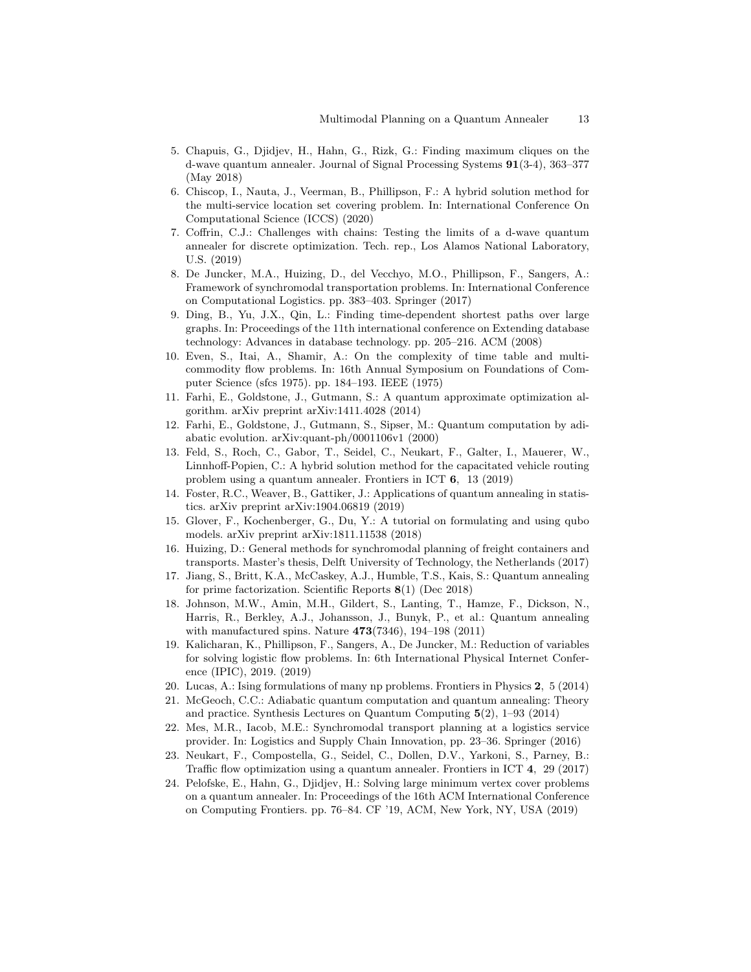- <span id="page-12-6"></span>5. Chapuis, G., Djidjev, H., Hahn, G., Rizk, G.: Finding maximum cliques on the d-wave quantum annealer. Journal of Signal Processing Systems 91(3-4), 363–377 (May 2018)
- <span id="page-12-9"></span>6. Chiscop, I., Nauta, J., Veerman, B., Phillipson, F.: A hybrid solution method for the multi-service location set covering problem. In: International Conference On Computational Science (ICCS) (2020)
- <span id="page-12-18"></span>7. Coffrin, C.J.: Challenges with chains: Testing the limits of a d-wave quantum annealer for discrete optimization. Tech. rep., Los Alamos National Laboratory, U.S. (2019)
- <span id="page-12-12"></span>8. De Juncker, M.A., Huizing, D., del Vecchyo, M.O., Phillipson, F., Sangers, A.: Framework of synchromodal transportation problems. In: International Conference on Computational Logistics. pp. 383–403. Springer (2017)
- <span id="page-12-14"></span>9. Ding, B., Yu, J.X., Qin, L.: Finding time-dependent shortest paths over large graphs. In: Proceedings of the 11th international conference on Extending database technology: Advances in database technology. pp. 205–216. ACM (2008)
- <span id="page-12-15"></span>10. Even, S., Itai, A., Shamir, A.: On the complexity of time table and multicommodity flow problems. In: 16th Annual Symposium on Foundations of Computer Science (sfcs 1975). pp. 184–193. IEEE (1975)
- <span id="page-12-2"></span>11. Farhi, E., Goldstone, J., Gutmann, S.: A quantum approximate optimization algorithm. arXiv preprint arXiv:1411.4028 (2014)
- <span id="page-12-16"></span>12. Farhi, E., Goldstone, J., Gutmann, S., Sipser, M.: Quantum computation by adiabatic evolution. arXiv:quant-ph/0001106v1 (2000)
- <span id="page-12-7"></span>13. Feld, S., Roch, C., Gabor, T., Seidel, C., Neukart, F., Galter, I., Mauerer, W., Linnhoff-Popien, C.: A hybrid solution method for the capacitated vehicle routing problem using a quantum annealer. Frontiers in ICT 6, 13 (2019)
- <span id="page-12-19"></span>14. Foster, R.C., Weaver, B., Gattiker, J.: Applications of quantum annealing in statistics. arXiv preprint arXiv:1904.06819 (2019)
- <span id="page-12-4"></span>15. Glover, F., Kochenberger, G., Du, Y.: A tutorial on formulating and using qubo models. arXiv preprint arXiv:1811.11538 (2018)
- <span id="page-12-13"></span>16. Huizing, D.: General methods for synchromodal planning of freight containers and transports. Master's thesis, Delft University of Technology, the Netherlands (2017)
- <span id="page-12-11"></span>17. Jiang, S., Britt, K.A., McCaskey, A.J., Humble, T.S., Kais, S.: Quantum annealing for prime factorization. Scientific Reports 8(1) (Dec 2018)
- <span id="page-12-3"></span>18. Johnson, M.W., Amin, M.H., Gildert, S., Lanting, T., Hamze, F., Dickson, N., Harris, R., Berkley, A.J., Johansson, J., Bunyk, P., et al.: Quantum annealing with manufactured spins. Nature 473(7346), 194–198 (2011)
- <span id="page-12-1"></span>19. Kalicharan, K., Phillipson, F., Sangers, A., De Juncker, M.: Reduction of variables for solving logistic flow problems. In: 6th International Physical Internet Conference (IPIC), 2019. (2019)
- <span id="page-12-5"></span>20. Lucas, A.: Ising formulations of many np problems. Frontiers in Physics 2, 5 (2014)
- <span id="page-12-17"></span>21. McGeoch, C.C.: Adiabatic quantum computation and quantum annealing: Theory and practice. Synthesis Lectures on Quantum Computing 5(2), 1–93 (2014)
- <span id="page-12-0"></span>22. Mes, M.R., Iacob, M.E.: Synchromodal transport planning at a logistics service provider. In: Logistics and Supply Chain Innovation, pp. 23–36. Springer (2016)
- <span id="page-12-10"></span>23. Neukart, F., Compostella, G., Seidel, C., Dollen, D.V., Yarkoni, S., Parney, B.: Traffic flow optimization using a quantum annealer. Frontiers in ICT 4, 29 (2017)
- <span id="page-12-8"></span>24. Pelofske, E., Hahn, G., Djidjev, H.: Solving large minimum vertex cover problems on a quantum annealer. In: Proceedings of the 16th ACM International Conference on Computing Frontiers. pp. 76–84. CF '19, ACM, New York, NY, USA (2019)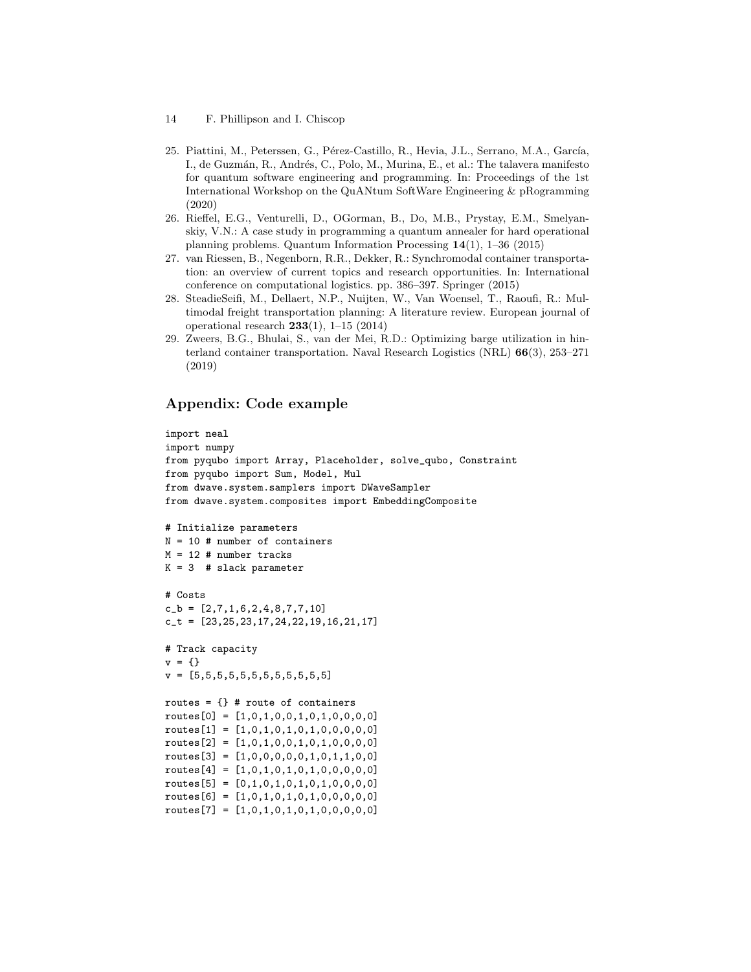- 14 F. Phillipson and I. Chiscop
- <span id="page-13-3"></span>25. Piattini, M., Peterssen, G., Pérez-Castillo, R., Hevia, J.L., Serrano, M.A., García, I., de Guzmán, R., Andrés, C., Polo, M., Murina, E., et al.: The talavera manifesto for quantum software engineering and programming. In: Proceedings of the 1st International Workshop on the QuANtum SoftWare Engineering & pRogramming (2020)
- <span id="page-13-4"></span>26. Rieffel, E.G., Venturelli, D., OGorman, B., Do, M.B., Prystay, E.M., Smelyanskiy, V.N.: A case study in programming a quantum annealer for hard operational planning problems. Quantum Information Processing 14(1), 1–36 (2015)
- <span id="page-13-1"></span>27. van Riessen, B., Negenborn, R.R., Dekker, R.: Synchromodal container transportation: an overview of current topics and research opportunities. In: International conference on computational logistics. pp. 386–397. Springer (2015)
- <span id="page-13-0"></span>28. SteadieSeifi, M., Dellaert, N.P., Nuijten, W., Van Woensel, T., Raoufi, R.: Multimodal freight transportation planning: A literature review. European journal of operational research  $233(1)$ , 1-15 (2014)
- <span id="page-13-2"></span>29. Zweers, B.G., Bhulai, S., van der Mei, R.D.: Optimizing barge utilization in hinterland container transportation. Naval Research Logistics (NRL) 66(3), 253–271 (2019)

## Appendix: Code example

```
import neal
import numpy
from pyqubo import Array, Placeholder, solve_qubo, Constraint
from pyqubo import Sum, Model, Mul
from dwave.system.samplers import DWaveSampler
from dwave.system.composites import EmbeddingComposite
# Initialize parameters
N = 10 # number of containers
M = 12 # number tracks
K = 3 # slack parameter
# Costs
c_b = [2, 7, 1, 6, 2, 4, 8, 7, 7, 10]c_t = [23, 25, 23, 17, 24, 22, 19, 16, 21, 17]# Track capacity
v = \{\}v = [5, 5, 5, 5, 5, 5, 5, 5, 5, 5, 5]routes = {} # route of containers
routes[0] = [1,0,1,0,0,1,0,1,0,0,0,0]routes[1] = [1,0,1,0,1,0,1,0,0,0,0,0]
routes[2] = [1,0,1,0,0,1,0,1,0,0,0,0]
routes[3] = [1,0,0,0,0,0,1,0,1,1,0,0]
routes[4] = [1,0,1,0,1,0,1,0,0,0,0,0]
routes[5] = [0,1,0,1,0,1,0,1,0,0,0,0]
routes[6] = [1,0,1,0,1,0,1,0,0,0,0,0]routes[7] = [1,0,1,0,1,0,1,0,0,0,0,0]
```